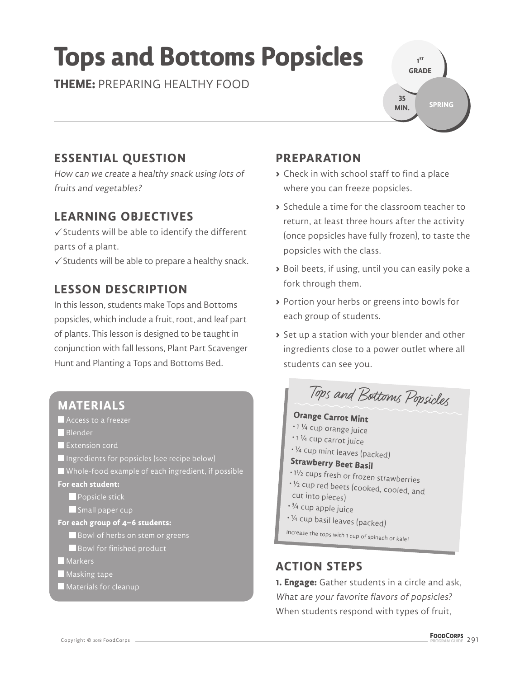# **Tops and Bottoms Popsicles**

**THEME:** PREPARING HEALTHY FOOD

**1 ST GRADE SPRING 35 MIN.**

# **ESSENTIAL QUESTION**

How can we create a healthy snack using lots of fruits and vegetables?

## **LEARNING OBJECTIVES**

 $\checkmark$  Students will be able to identify the different parts of a plant.

 $\checkmark$  Students will be able to prepare a healthy snack.

## **LESSON DESCRIPTION**

In this lesson, students make Tops and Bottoms popsicles, which include a fruit, root, and leaf part of plants. This lesson is designed to be taught in conjunction with fall lessons, Plant Part Scavenger Hunt and Planting a Tops and Bottoms Bed.

### **MATERIALS**

 Access to a freezer **Blender Extension cord** Ingredients for popsicles (see recipe below) Whole-food example of each ingredient, if possible **For each student: Popsicle stick** Small paper cup **For each group of 4–6 students:** Bowl of herbs on stem or greens Bowl for finished product **Markers Masking tape Materials for cleanup** 

## **PREPARATION**

- **>** Check in with school staff to find a place where you can freeze popsicles.
- **>** Schedule a time for the classroom teacher to return, at least three hours after the activity (once popsicles have fully frozen), to taste the popsicles with the class.
- **>** Boil beets, if using, until you can easily poke a fork through them.
- **>** Portion your herbs or greens into bowls for each group of students.
- **>** Set up a station with your blender and other ingredients close to a power outlet where all students can see you.

Tops and Bottoms Popsicles

#### **Orange Carrot Mint**

- 1 ¼ cup orange juice
- 1 ¼ cup carrot juice
- <sup>¼</sup> cup mint leaves (packed)

# **Strawberry Beet Basil**

- 1<sup>½</sup> cups fresh or frozen strawberries
- <sup>½</sup> cup red beets (cooked, cooled, and
- cut into pieces)
- ¾ cup apple juice
- <sup>¼</sup> cup basil leaves (packed)

Increase the tops with 1 cup of spinach or kale!

### **ACTION STEPS**

**1. Engage:** Gather students in a circle and ask, What are your favorite flavors of popsicles? When students respond with types of fruit,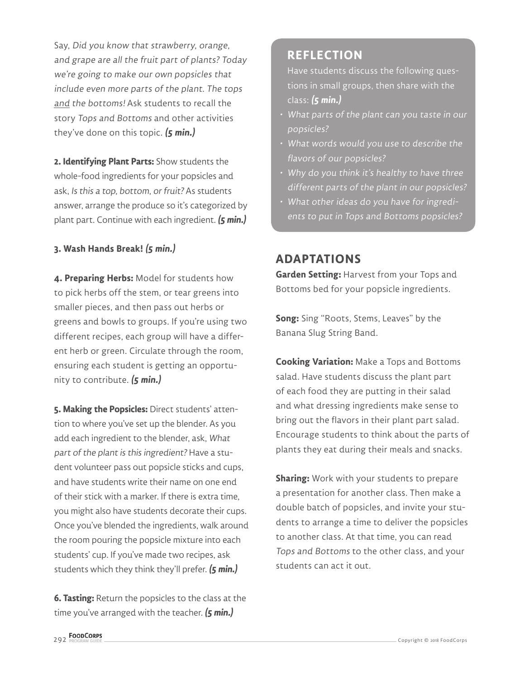Say, Did you know that strawberry, orange, and grape are all the fruit part of plants? Today we're going to make our own popsicles that include even more parts of the plant. The tops and the bottoms! Ask students to recall the story Tops and Bottoms and other activities they've done on this topic. **(5 min.)**

**2. Identifying Plant Parts:** Show students the whole-food ingredients for your popsicles and ask, Is this a top, bottom, or fruit? As students answer, arrange the produce so it's categorized by plant part. Continue with each ingredient. **(5 min.)**

#### **3. Wash Hands Break! (5 min.)**

**4. Preparing Herbs:** Model for students how to pick herbs off the stem, or tear greens into smaller pieces, and then pass out herbs or greens and bowls to groups. If you're using two different recipes, each group will have a different herb or green. Circulate through the room, ensuring each student is getting an opportunity to contribute. **(5 min.)**

5. Making the Popsicles: Direct students' attention to where you've set up the blender. As you add each ingredient to the blender, ask, What part of the plant is this ingredient? Have a student volunteer pass out popsicle sticks and cups, and have students write their name on one end of their stick with a marker. If there is extra time, you might also have students decorate their cups. Once you've blended the ingredients, walk around the room pouring the popsicle mixture into each students' cup. If you've made two recipes, ask students which they think they'll prefer. **(5 min.)**

**6. Tasting:** Return the popsicles to the class at the time you've arranged with the teacher. **(5 min.)**

#### **REFLECTION**

Have students discuss the following questions in small groups, then share with the class: **(5 min.)**

- What parts of the plant can you taste in our popsicles?
- What words would you use to describe the flavors of our popsicles?
- Why do you think it's healthy to have three different parts of the plant in our popsicles?
- What other ideas do you have for ingredients to put in Tops and Bottoms popsicles?

#### **ADAPTATIONS**

**Garden Setting:** Harvest from your Tops and Bottoms bed for your popsicle ingredients.

**Song:** Sing "Roots, Stems, Leaves" by the Banana Slug String Band.

**Cooking Variation:** Make a Tops and Bottoms salad. Have students discuss the plant part of each food they are putting in their salad and what dressing ingredients make sense to bring out the flavors in their plant part salad. Encourage students to think about the parts of plants they eat during their meals and snacks.

**Sharing:** Work with your students to prepare a presentation for another class. Then make a double batch of popsicles, and invite your students to arrange a time to deliver the popsicles to another class. At that time, you can read Tops and Bottoms to the other class, and your students can act it out.